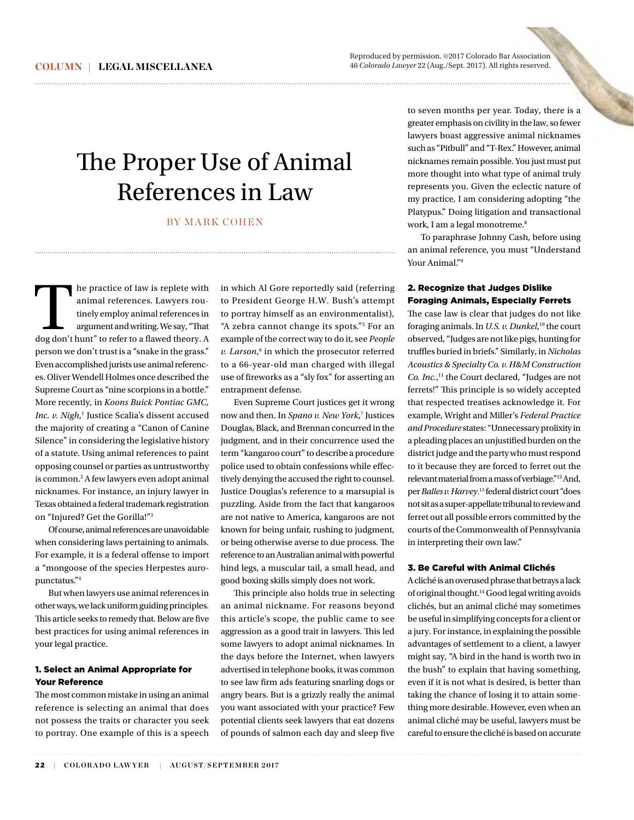Reproduced by permission. @2017 Colorado Bar Association 46 Colorado Lawyer 22 (Aug./Sept. 2017). All rights reserved.

# The Proper Use of Animal References in Law

## BY MARK COHEN

The practice of law is replete with<br>
animal references. Lawyers rou-<br>
tinely employ animal references in<br>
argument and writing. We say, "That<br>
dog don't hunt" to refer to a flawed theory. A animal references. Lawyers routinely employ animal references in argument and writing. We say, "That person we don't trust is a "snake in the grass." Even accomplished jurists use animal references. Oliver Wendell Holmes once described the Supreme Court as "nine scorpions in a bottle." More recently, in *Koons Buick Pontiac GMC, Inc. v. Nigh*, <sup>1</sup> Justice Scalia's dissent accused the majority of creating a "Canon of Canine Silence" in considering the legislative history of a statute. Using animal references to paint opposing counsel or parties as untrustworthy is common.2 A few lawyers even adopt animal nicknames. For instance, an injury lawyer in Texas obtained a federal trademark registration on "Injured? Get the Gorilla!"3

Of course, animal references are unavoidable when considering laws pertaining to animals. For example, it is a federal offense to import a "mongoose of the species Herpestes auropunctatus."4

But when lawyers use animal references in other ways, we lack uniform guiding principles. This article seeks to remedy that. Below are five best practices for using animal references in your legal practice.

## 1. Select an Animal Appropriate for **Your Deference**

The most common mistake in using an animal reference is selecting an animal that does not possess the traits or character you seek to portray. One example of this is a speech

in which Al Gore reportedly said (referring to President George H.W. Bush's attempt to portray himself as an environmentalist), "A zebra cannot change its spots."5 For an example of the correct way to do it, see *People* v. Larson,<sup>6</sup> in which the prosecutor referred to a 66-year-old man charged with illegal use of fireworks as a "sly fox" for asserting an entrapment defense.

Even Supreme Court justices get it wrong now and then. In *Spano v. New York*, <sup>7</sup> Justices Douglas, Black, and Brennan concurred in the judgment, and in their concurrence used the term "kangaroo court" to describe a procedure police used to obtain confessions while effectively denying the accused the right to counsel. Justice Douglas's reference to a marsupial is puzzling. Aside from the fact that kangaroos are not native to America, kangaroos are not known for being unfair, rushing to judgment, or being otherwise averse to due process. The reference to an Australian animal with powerful hind legs, a muscular tail, a small head, and good boxing skills simply does not work.

This principle also holds true in selecting an animal nickname. For reasons beyond this article's scope, the public came to see aggression as a good trait in lawyers. This led some lawyers to adopt animal nicknames. In the days before the Internet, when lawyers advertised in telephone books, it was common to see law firm ads featuring snarling dogs or angry bears. But is a grizzly really the animal you want associated with your practice? Few potential clients seek lawyers that eat dozens of pounds of salmon each day and sleep five

to seven months per year. Today, there is a greater empha asis on civility in the law, so fewer lawyers boast aggressive animal nicknames such as "Pitbull" and "T-Rex." However, animal nicknames rem main possible. You just must put more thought into what type of animal truly represents yo u. Given the eclectic nature of my practice, I I am considering adopting "the Platypus." Doing litigation and transactional work, I am a le egal monotreme. 8

To paraphr rase Johnny Cash, before using an animal refe erence, you must "Understand Your Animal." 9

## 2. Recognize that Judges Dislike Foraging An nimals, Especially Ferrets

The case law is clear that judges do not like foraging anim mals. In *U.S. v. Dunkel*, 10 the court observed, "Jud dges are not like pigs, hunting for truffles buried d in briefs." Similarly, in *Nicholas Acoustics & Specialty Co. v. H&M Construction pecialty Co. H&M Construction Co. Inc.*, 11 the Court declared, "Judges are not ferrets!" This principle is so widely accepted that respected treatises acknowledge it. For example, Wright and Miller's *Federal Practice and Procedure* states: "Unnecessary prolixity in a pleading places an unjustified burden on the district judge and the party who must respond to it because they are forced to ferret out the relevant material from a mass of verbiage."12 And, per*Balles v. Harvey*, 13 federal district court "does not sit as a super-appellate tribunal to review and ferret out all possible errors committed by the courts of the Commonwealth of Pennsylvania in interpreting their own law."

### 3. Be Careful with Animal Clichés

A cliché is an overused phrase that betrays a lack of original thought.<sup>14</sup> Good legal writing avoids clichés, but an animal cliché may sometimes be useful in simplifying concepts for a client or a jury. For instance, in explaining the possible advantages of settlement to a client, a lawyer might say, "A bird in the hand is worth two in the bush" to explain that having something, even if it is not what is desired, is better than taking the chance of losing it to attain something more desirable. However, even when an animal cliché may be useful, lawyers must be careful to ensure the cliché is based on accurate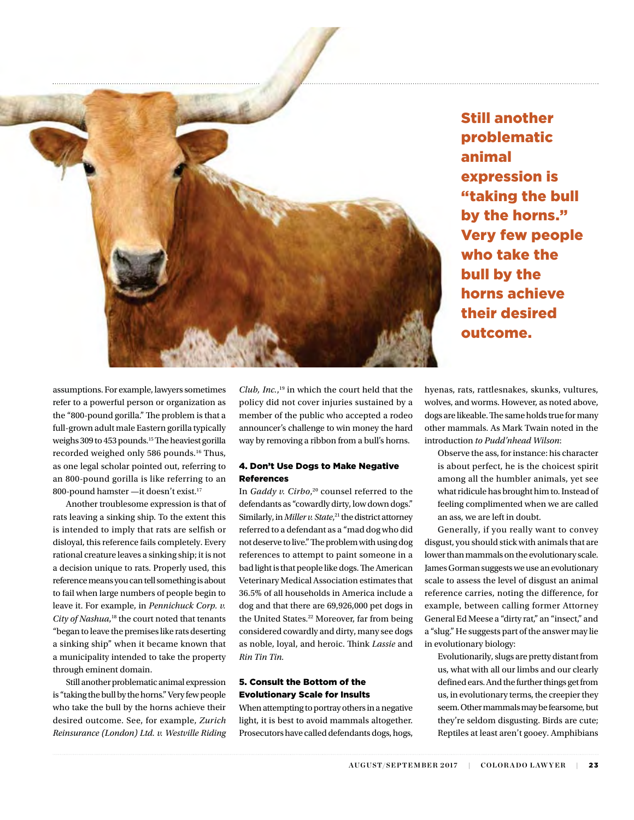

Still another problematic animal expression is "taking the bull by the horns." Very few people who take the bull by the horns achieve their desired outcome.

assumptions. For example, lawyers sometimes refer to a powerful person or organization as the "800-pound gorilla." The problem is that a full-grown adult male Eastern gorilla typically weighs 309 to 453 pounds.<sup>15</sup> The heaviest gorilla recorded weighed only 586 pounds. 16 Thus, as one legal scholar pointed out, referring to an 800-pound gorilla is like referring to an 800-pound hamster —it doesn't exist.17

Another troublesome expression is that of rats leaving a sinking ship. To the extent this is intended to imply that rats are selfish or disloyal, this reference fails completely. Every rational creature leaves a sinking ship; it is not a decision unique to rats. Properly used, this reference means you can tell something is about to fail when large numbers of people begin to leave it. For example, in *Pennichuck Corp. v.*  City of Nashua,<sup>18</sup> the court noted that tenants "began to leave the premises like rats deserting a sinking ship" when it became known that a municipality intended to take the property through eminent domain.

Still another problematic animal expression is "taking the bull by the horns." Very few people who take the bull by the horns achieve their desired outcome. See, for example, *Zurich Reinsurance (London) Ltd. v. Westville Riding*

*Club, Inc.*, 19 in which the court held that the policy did not cover injuries sustained by a member of the public who accepted a rodeo announcer's challenge to win money the hard way by removing a ribbon from a bull's horns.

## 4. Don't Use Dogs to Make Negative References

In *Gaddy v. Cirbo*, 20 counsel referred to the defendants as "cowardly dirty, low down dogs." Similarly, in*Miller v. State*, 21 the district attorney referred to a defendant as a "mad dog who did not deserve to live." The problem with using dog references to attempt to paint someone in a bad light is that people like dogs. The American Veterinary Medical Association estimates that 36.5% of all households in America include a dog and that there are 69,926,000 pet dogs in the United States. 22 Moreover, far from being considered cowardly and dirty, many see dogs as noble, loyal, and heroic. Think *Lassie* and *Rin Tin Tin.*

## 5. Consult the Bottom of the Evolutionary Scale for Insults

When attempting to portray others in a negative light, it is best to avoid mammals altogether. Prosecutors have called defendants dogs, hogs, hyenas, rats, rattlesnakes, skunks, vultures, wolves, and worms. However, as noted above, dogs are likeable. The same holds true for many other mammals. As Mark Twain noted in the introduction *to Pudd'nhead Wilson*:

Observe the ass, for instance: his character is about perfect, he is the choicest spirit among all the humbler animals, yet see what ridicule has brought him to. Instead of feeling complimented when we are called an ass, we are left in doubt.

Generally, if you really want to convey disgust, you should stick with animals that are lower than mammals on the evolutionary scale. James Gorman suggests we use an evolutionary scale to assess the level of disgust an animal reference carries, noting the difference, for example, between calling former Attorney General Ed Meese a "dirty rat," an "insect," and a "slug." He suggests part of the answer may lie in evolutionary biology:

Evolutionarily, slugs are pretty distant from us, what with all our limbs and our clearly defined ears. And the further things get from us, in evolutionary terms, the creepier they seem. Other mammals may be fearsome, but they're seldom disgusting. Birds are cute; Reptiles at least aren't gooey. Amphibians